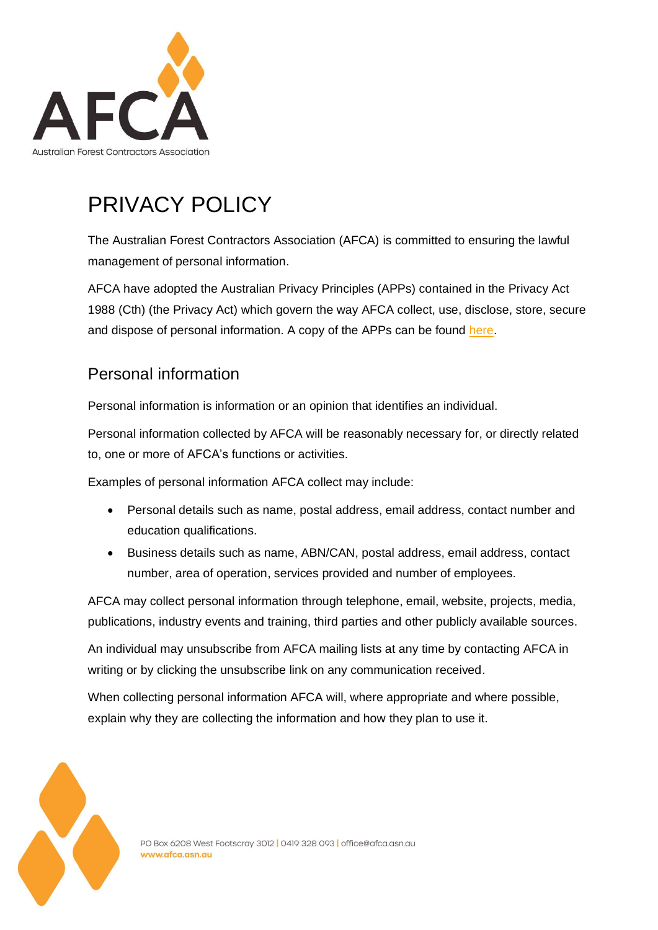

# PRIVACY POLICY

The Australian Forest Contractors Association (AFCA) is committed to ensuring the lawful management of personal information.

AFCA have adopted the Australian Privacy Principles (APPs) contained in the Privacy Act 1988 (Cth) (the Privacy Act) which govern the way AFCA collect, use, disclose, store, secure and dispose of personal information. A copy of the APPs can be found [here.](http://www.oaic.gov.au/)

#### Personal information

Personal information is information or an opinion that identifies an individual.

Personal information collected by AFCA will be reasonably necessary for, or directly related to, one or more of AFCA's functions or activities.

Examples of personal information AFCA collect may include:

- Personal details such as name, postal address, email address, contact number and education qualifications.
- Business details such as name, ABN/CAN, postal address, email address, contact number, area of operation, services provided and number of employees.

AFCA may collect personal information through telephone, email, website, projects, media, publications, industry events and training, third parties and other publicly available sources.

An individual may unsubscribe from AFCA mailing lists at any time by contacting AFCA in writing or by clicking the unsubscribe link on any communication received.

When collecting personal information AFCA will, where appropriate and where possible, explain why they are collecting the information and how they plan to use it.

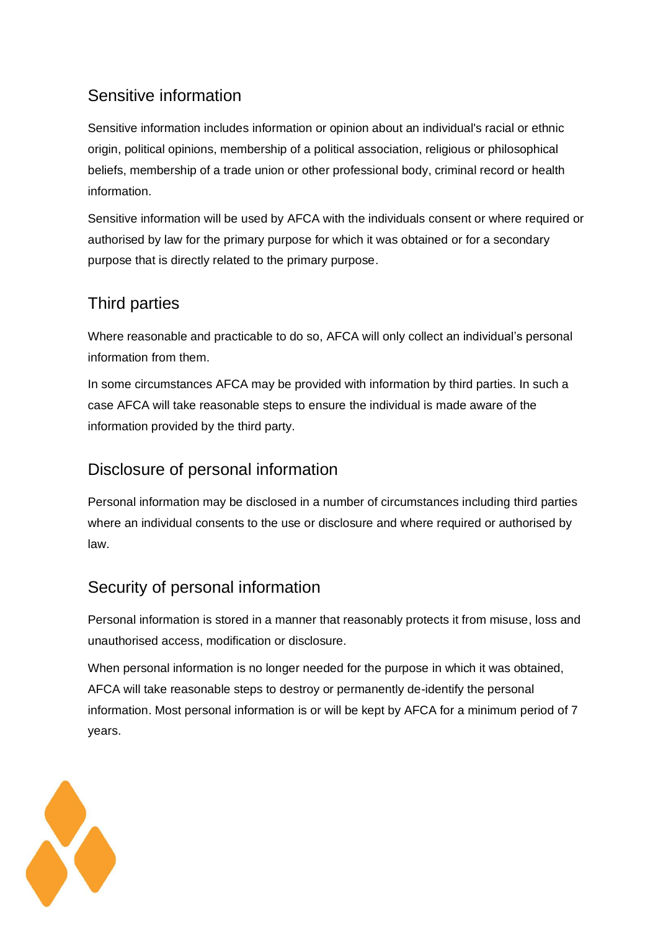# Sensitive information

Sensitive information includes information or opinion about an individual's racial or ethnic origin, political opinions, membership of a political association, religious or philosophical beliefs, membership of a trade union or other professional body, criminal record or health information.

Sensitive information will be used by AFCA with the individuals consent or where required or authorised by law for the primary purpose for which it was obtained or for a secondary purpose that is directly related to the primary purpose.

#### Third parties

Where reasonable and practicable to do so, AFCA will only collect an individual's personal information from them.

In some circumstances AFCA may be provided with information by third parties. In such a case AFCA will take reasonable steps to ensure the individual is made aware of the information provided by the third party.

# Disclosure of personal information

Personal information may be disclosed in a number of circumstances including third parties where an individual consents to the use or disclosure and where required or authorised by law.

# Security of personal information

Personal information is stored in a manner that reasonably protects it from misuse, loss and unauthorised access, modification or disclosure.

When personal information is no longer needed for the purpose in which it was obtained, AFCA will take reasonable steps to destroy or permanently de-identify the personal information. Most personal information is or will be kept by AFCA for a minimum period of 7 years.